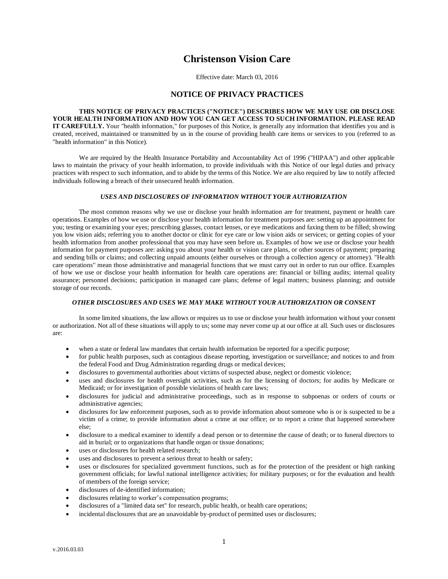# **Christenson Vision Care**

Effective date: March 03, 2016

## **NOTICE OF PRIVACY PRACTICES**

**THIS NOTICE OF PRIVACY PRACTICES ("NOTICE") DESCRIBES HOW WE MAY USE OR DISCLOSE YOUR HEALTH INFORMATION AND HOW YOU CAN GET ACCESS TO SUCH INFORMATION. PLEASE READ IT CAREFULLY.** Your "health information," for purposes of this Notice, is generally any information that identifies you and is created, received, maintained or transmitted by us in the course of providing health care items or services to you (referred to as "health information" in this Notice).

We are required by the Health Insurance Portability and Accountability Act of 1996 ("HIPAA") and other applicable laws to maintain the privacy of your health information, to provide individuals with this Notice of our legal duties and privacy practices with respect to such information, and to abide by the terms of this Notice. We are also required by law to notify affected individuals following a breach of their unsecured health information.

## *USES AND DISCLOSURES OF INFORMATION WITHOUT YOUR AUTHORIZATION*

The most common reasons why we use or disclose your health information are for treatment, payment or health care operations. Examples of how we use or disclose your health information for treatment purposes are: setting up an appointment for you; testing or examining your eyes; prescribing glasses, contact lenses, or eye medications and faxing them to be filled; showing you low vision aids; referring you to another doctor or clinic for eye care or low vision aids or services; or getting copies of your health information from another professional that you may have seen before us. Examples of how we use or disclose your health information for payment purposes are: asking you about your health or vision care plans, or other sources of payment; preparing and sending bills or claims; and collecting unpaid amounts (either ourselves or through a collection agency or attorney). "Health care operations" mean those administrative and managerial functions that we must carry out in order to run our office. Examples of how we use or disclose your health information for health care operations are: financial or billing audits; internal quality assurance; personnel decisions; participation in managed care plans; defense of legal matters; business planning; and outside storage of our records.

#### *OTHER DISCLOSURES AND USES WE MAY MAKE WITHOUT YOUR AUTHORIZATION OR CONSENT*

In some limited situations, the law allows or requires us to use or disclose your health information without your consent or authorization. Not all of these situations will apply to us; some may never come up at our office at all. Such uses or disclosures are:

- when a state or federal law mandates that certain health information be reported for a specific purpose;
- for public health purposes, such as contagious disease reporting, investigation or surveillance; and notices to and from the federal Food and Drug Administration regarding drugs or medical devices;
- disclosures to governmental authorities about victims of suspected abuse, neglect or domestic violence;
- uses and disclosures for health oversight activities, such as for the licensing of doctors; for audits by Medicare or Medicaid; or for investigation of possible violations of health care laws;
- disclosures for judicial and administrative proceedings, such as in response to subpoenas or orders of courts or administrative agencies;
- disclosures for law enforcement purposes, such as to provide information about someone who is or is suspected to be a victim of a crime; to provide information about a crime at our office; or to report a crime that happened somewhere else;
- disclosure to a medical examiner to identify a dead person or to determine the cause of death; or to funeral directors to aid in burial; or to organizations that handle organ or tissue donations;
- uses or disclosures for health related research;
- uses and disclosures to prevent a serious threat to health or safety;
- uses or disclosures for specialized government functions, such as for the protection of the president or high ranking government officials; for lawful national intelligence activities; for military purposes; or for the evaluation and health of members of the foreign service;
- disclosures of de-identified information;
- disclosures relating to worker's compensation programs;
- disclosures of a "limited data set" for research, public health, or health care operations;
- incidental disclosures that are an unavoidable by-product of permitted uses or disclosures;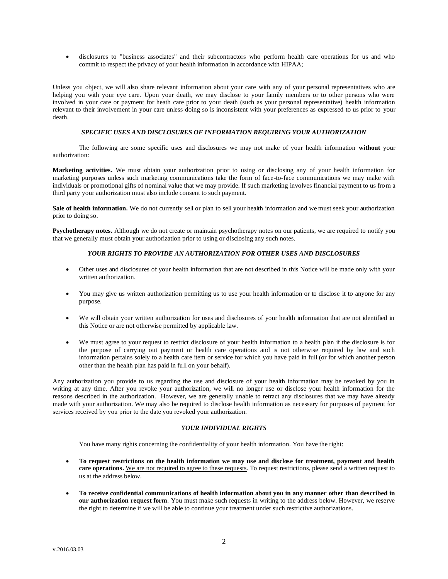disclosures to "business associates" and their subcontractors who perform health care operations for us and who commit to respect the privacy of your health information in accordance with HIPAA;

Unless you object, we will also share relevant information about your care with any of your personal representatives who are helping you with your eye care. Upon your death, we may disclose to your family members or to other persons who were involved in your care or payment for heath care prior to your death (such as your personal representative) health information relevant to their involvement in your care unless doing so is inconsistent with your preferences as expressed to us prior to your death.

## *SPECIFIC USES AND DISCLOSURES OF INFORMATION REQUIRING YOUR AUTHORIZATION*

The following are some specific uses and disclosures we may not make of your health information **without** your authorization:

**Marketing activities.** We must obtain your authorization prior to using or disclosing any of your health information for marketing purposes unless such marketing communications take the form of face-to-face communications we may make with individuals or promotional gifts of nominal value that we may provide. If such marketing involves financial payment to us from a third party your authorization must also include consent to such payment.

Sale of health information. We do not currently sell or plan to sell your health information and we must seek your authorization prior to doing so.

**Psychotherapy notes.** Although we do not create or maintain psychotherapy notes on our patients, we are required to notify you that we generally must obtain your authorization prior to using or disclosing any such notes.

## *YOUR RIGHTS TO PROVIDE AN AUTHORIZATION FOR OTHER USES AND DISCLOSURES*

- Other uses and disclosures of your health information that are not described in this Notice will be made only with your written authorization.
- You may give us written authorization permitting us to use your health information or to disclose it to anyone for any purpose.
- We will obtain your written authorization for uses and disclosures of your health information that are not identified in this Notice or are not otherwise permitted by applicable law.
- We must agree to your request to restrict disclosure of your health information to a health plan if the disclosure is for the purpose of carrying out payment or health care operations and is not otherwise required by law and such information pertains solely to a health care item or service for which you have paid in full (or for which another person other than the health plan has paid in full on your behalf).

Any authorization you provide to us regarding the use and disclosure of your health information may be revoked by you in writing at any time. After you revoke your authorization, we will no longer use or disclose your health information for the reasons described in the authorization. However, we are generally unable to retract any disclosures that we may have already made with your authorization. We may also be required to disclose health information as necessary for purposes of payment for services received by you prior to the date you revoked your authorization.

#### *YOUR INDIVIDUAL RIGHTS*

You have many rights concerning the confidentiality of your health information. You have the right:

- **To request restrictions on the health information we may use and disclose for treatment, payment and health care operations.** We are not required to agree to these requests. To request restrictions, please send a written request to us at the address below.
- **To receive confidential communications of health information about you in any manner other than described in our authorization request form**. You must make such requests in writing to the address below. However, we reserve the right to determine if we will be able to continue your treatment under such restrictive authorizations.